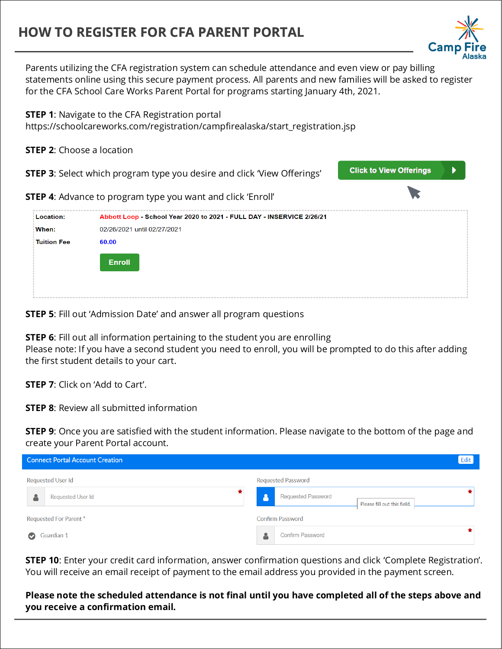## **HOW TO REGISTER FOR CFA PARENT PORTAL**

Parents utilizing the CFA registration system can schedule attendance and even view or pay billing statements online using this secure payment process. All parents and new families will be asked to register for the CFA School Care Works Parent Portal for programs starting January 4th, 2021.

**STEP 1**: Navigate to the CFA Registration portal https://schoolcareworks.com/registration/campfirealaska/start\_registration.jsp

**STEP 2**: Choose a location

**STEP 3:** Select which program type you desire and click 'View Offerings'

**STEP 4**: Advance to program type you want and click 'Enroll'



**STEP 5**: Fill out 'Admission Date' and answer all program questions

**STEP 6**: Fill out all information pertaining to the student you are enrolling Please note: If you have a second student you need to enroll, you will be prompted to do this after adding the first student details to your cart.

**STEP 7**: Click on 'Add to Cart'.

**STEP 8**: Review all submitted information

**STEP 9**: Once you are satisfied with the student information. Please navigate to the bottom of the page and create your Parent Portal account.

| <b>Connect Portal Account Creation</b> | Edit                                                     |
|----------------------------------------|----------------------------------------------------------|
| <b>Requested User Id</b>               | <b>Requested Password</b>                                |
| <b>Requested User Id</b>               | <b>Requested Password</b><br>Please fill out this field. |
| Requested For Parent*                  | <b>Confirm Password</b>                                  |
| Guardian 1                             | <b>Confirm Password</b>                                  |

**STEP 10**: Enter your credit card information, answer confirmation questions and click 'Complete Registration'. You will receive an email receipt of payment to the email address you provided in the payment screen.

**Please note the scheduled attendance is not final until you have completed all of the steps above and you receive a confirmation email.**



**Click to View Offerings**